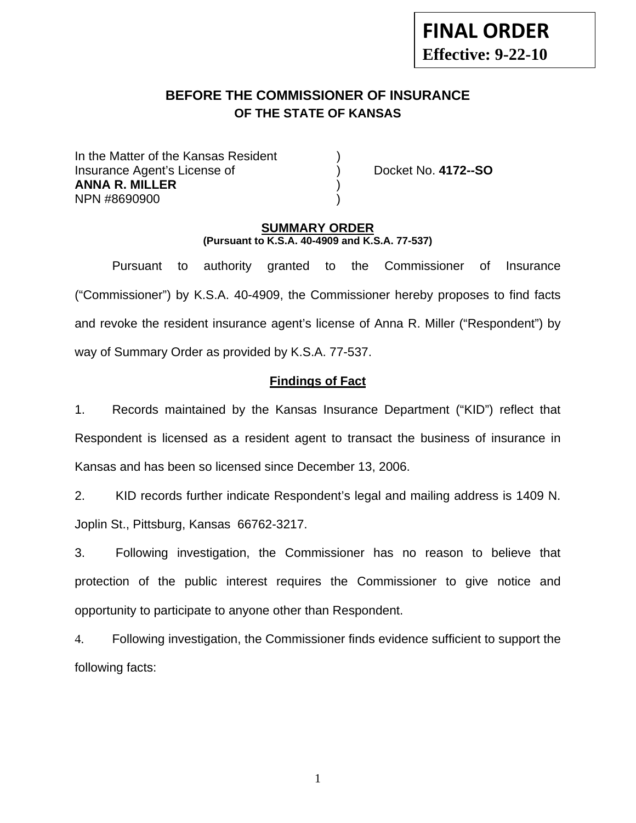# **FINAL ORDER Effective: 9-22-10**

# **BEFORE THE COMMISSIONER OF INSURANCE OF THE STATE OF KANSAS**

In the Matter of the Kansas Resident Insurance Agent's License of ) Docket No. **4172--SO ANNA R. MILLER** ) NPN #8690900 )

### **SUMMARY ORDER (Pursuant to K.S.A. 40-4909 and K.S.A. 77-537)**

 Pursuant to authority granted to the Commissioner of Insurance ("Commissioner") by K.S.A. 40-4909, the Commissioner hereby proposes to find facts and revoke the resident insurance agent's license of Anna R. Miller ("Respondent") by way of Summary Order as provided by K.S.A. 77-537.

# **Findings of Fact**

1. Records maintained by the Kansas Insurance Department ("KID") reflect that Respondent is licensed as a resident agent to transact the business of insurance in Kansas and has been so licensed since December 13, 2006.

2. KID records further indicate Respondent's legal and mailing address is 1409 N. Joplin St., Pittsburg, Kansas 66762-3217.

3. Following investigation, the Commissioner has no reason to believe that protection of the public interest requires the Commissioner to give notice and opportunity to participate to anyone other than Respondent.

4. Following investigation, the Commissioner finds evidence sufficient to support the following facts:

1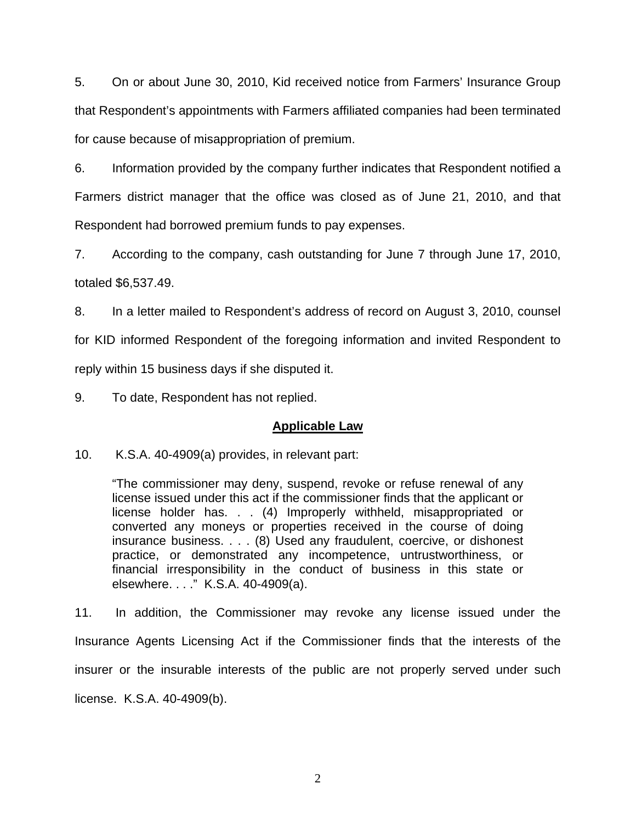5. On or about June 30, 2010, Kid received notice from Farmers' Insurance Group that Respondent's appointments with Farmers affiliated companies had been terminated for cause because of misappropriation of premium.

6. Information provided by the company further indicates that Respondent notified a Farmers district manager that the office was closed as of June 21, 2010, and that Respondent had borrowed premium funds to pay expenses.

7. According to the company, cash outstanding for June 7 through June 17, 2010, totaled \$6,537.49.

8. In a letter mailed to Respondent's address of record on August 3, 2010, counsel for KID informed Respondent of the foregoing information and invited Respondent to reply within 15 business days if she disputed it.

9. To date, Respondent has not replied.

### **Applicable Law**

10. K.S.A. 40-4909(a) provides, in relevant part:

"The commissioner may deny, suspend, revoke or refuse renewal of any license issued under this act if the commissioner finds that the applicant or license holder has. . . (4) Improperly withheld, misappropriated or converted any moneys or properties received in the course of doing insurance business. . . . (8) Used any fraudulent, coercive, or dishonest practice, or demonstrated any incompetence, untrustworthiness, or financial irresponsibility in the conduct of business in this state or elsewhere. . . ." K.S.A. 40-4909(a).

11. In addition, the Commissioner may revoke any license issued under the Insurance Agents Licensing Act if the Commissioner finds that the interests of the insurer or the insurable interests of the public are not properly served under such license. K.S.A. 40-4909(b).

2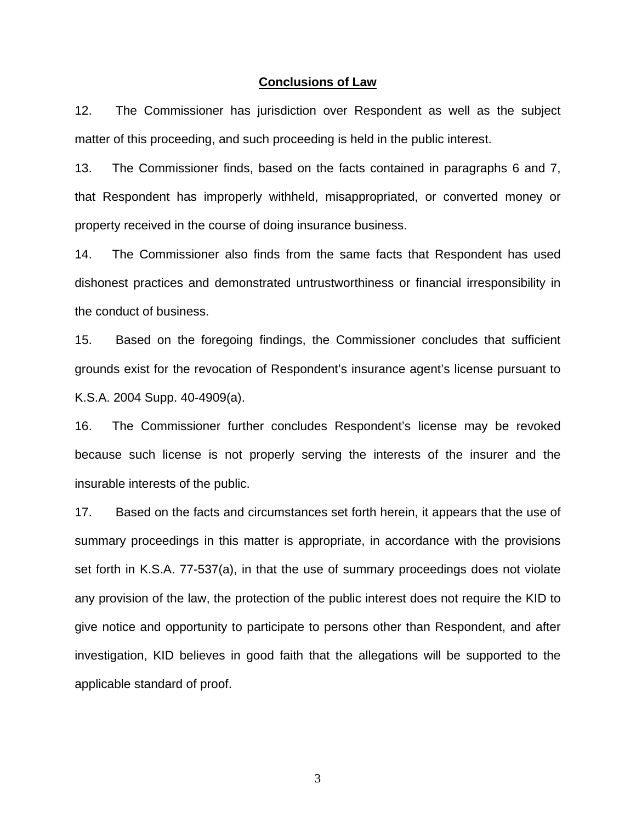#### **Conclusions of Law**

12. The Commissioner has jurisdiction over Respondent as well as the subject matter of this proceeding, and such proceeding is held in the public interest.

13. The Commissioner finds, based on the facts contained in paragraphs 6 and 7, that Respondent has improperly withheld, misappropriated, or converted money or property received in the course of doing insurance business.

14. The Commissioner also finds from the same facts that Respondent has used dishonest practices and demonstrated untrustworthiness or financial irresponsibility in the conduct of business.

15. Based on the foregoing findings, the Commissioner concludes that sufficient grounds exist for the revocation of Respondent's insurance agent's license pursuant to K.S.A. 2004 Supp. 40-4909(a).

16. The Commissioner further concludes Respondent's license may be revoked because such license is not properly serving the interests of the insurer and the insurable interests of the public.

17. Based on the facts and circumstances set forth herein, it appears that the use of summary proceedings in this matter is appropriate, in accordance with the provisions set forth in K.S.A. 77-537(a), in that the use of summary proceedings does not violate any provision of the law, the protection of the public interest does not require the KID to give notice and opportunity to participate to persons other than Respondent, and after investigation, KID believes in good faith that the allegations will be supported to the applicable standard of proof.

3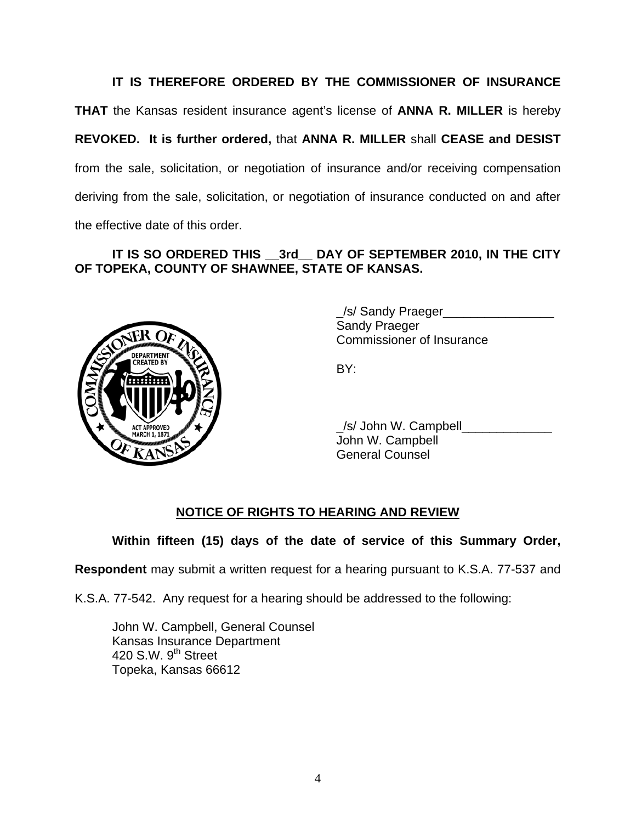**IT IS THEREFORE ORDERED BY THE COMMISSIONER OF INSURANCE THAT** the Kansas resident insurance agent's license of **ANNA R. MILLER** is hereby **REVOKED. It is further ordered,** that **ANNA R. MILLER** shall **CEASE and DESIST** from the sale, solicitation, or negotiation of insurance and/or receiving compensation deriving from the sale, solicitation, or negotiation of insurance conducted on and after the effective date of this order.

# **IT IS SO ORDERED THIS \_\_3rd\_\_ DAY OF SEPTEMBER 2010, IN THE CITY OF TOPEKA, COUNTY OF SHAWNEE, STATE OF KANSAS.**



 \_/s/ Sandy Praeger\_\_\_\_\_\_\_\_\_\_\_\_\_\_\_\_ Sandy Praeger Commissioner of Insurance

 \_/s/ John W. Campbell\_\_\_\_\_\_\_\_\_\_\_\_\_ John W. Campbell General Counsel

# **NOTICE OF RIGHTS TO HEARING AND REVIEW**

**Within fifteen (15) days of the date of service of this Summary Order,** 

**Respondent** may submit a written request for a hearing pursuant to K.S.A. 77-537 and

K.S.A. 77-542. Any request for a hearing should be addressed to the following:

 John W. Campbell, General Counsel Kansas Insurance Department 420 S.W. 9<sup>th</sup> Street Topeka, Kansas 66612